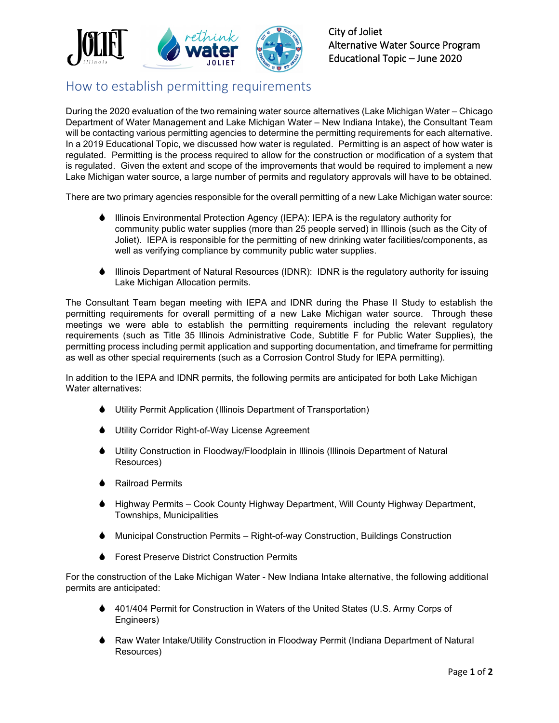

## How to establish permitting requirements

During the 2020 evaluation of the two remaining water source alternatives (Lake Michigan Water – Chicago Department of Water Management and Lake Michigan Water – New Indiana Intake), the Consultant Team will be contacting various permitting agencies to determine the permitting requirements for each alternative. In a 2019 Educational Topic, we discussed how water is regulated. Permitting is an aspect of how water is regulated. Permitting is the process required to allow for the construction or modification of a system that is regulated. Given the extent and scope of the improvements that would be required to implement a new Lake Michigan water source, a large number of permits and regulatory approvals will have to be obtained.

There are two primary agencies responsible for the overall permitting of a new Lake Michigan water source:

- ♦ Illinois Environmental Protection Agency (IEPA): IEPA is the regulatory authority for community public water supplies (more than 25 people served) in Illinois (such as the City of Joliet). IEPA is responsible for the permitting of new drinking water facilities/components, as well as verifying compliance by community public water supplies.
- Illinois Department of Natural Resources (IDNR): IDNR is the regulatory authority for issuing Lake Michigan Allocation permits.

The Consultant Team began meeting with IEPA and IDNR during the Phase II Study to establish the permitting requirements for overall permitting of a new Lake Michigan water source. Through these meetings we were able to establish the permitting requirements including the relevant regulatory requirements (such as Title 35 Illinois Administrative Code, Subtitle F for Public Water Supplies), the permitting process including permit application and supporting documentation, and timeframe for permitting as well as other special requirements (such as a Corrosion Control Study for IEPA permitting).

In addition to the IEPA and IDNR permits, the following permits are anticipated for both Lake Michigan Water alternatives:

- Utility Permit Application (Illinois Department of Transportation)
- Utility Corridor Right-of-Way License Agreement
- Utility Construction in Floodway/Floodplain in Illinois (Illinois Department of Natural Resources)
- **▲** Railroad Permits
- Highway Permits Cook County Highway Department, Will County Highway Department, Townships, Municipalities
- Municipal Construction Permits Right-of-way Construction, Buildings Construction
- Forest Preserve District Construction Permits

For the construction of the Lake Michigan Water - New Indiana Intake alternative, the following additional permits are anticipated:

- 401/404 Permit for Construction in Waters of the United States (U.S. Army Corps of Engineers)
- Raw Water Intake/Utility Construction in Floodway Permit (Indiana Department of Natural Resources)